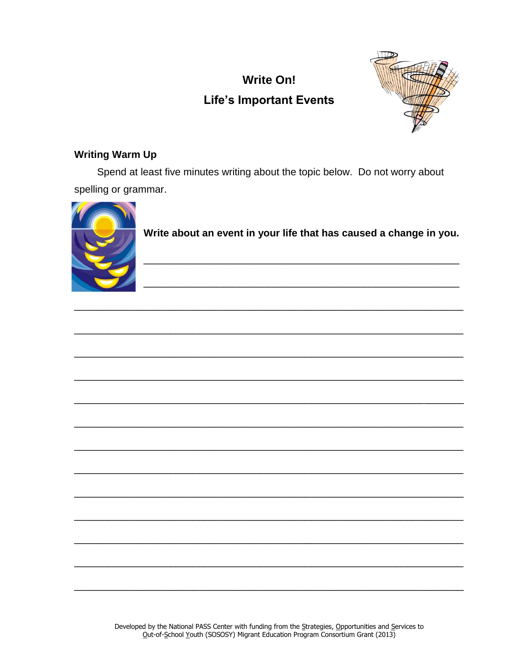# **Write On! Life's Important Events**



# **Writing Warm Up**

Spend at least five minutes writing about the topic below. Do not worry about spelling or grammar.



Write about an event in your life that has caused a change in you.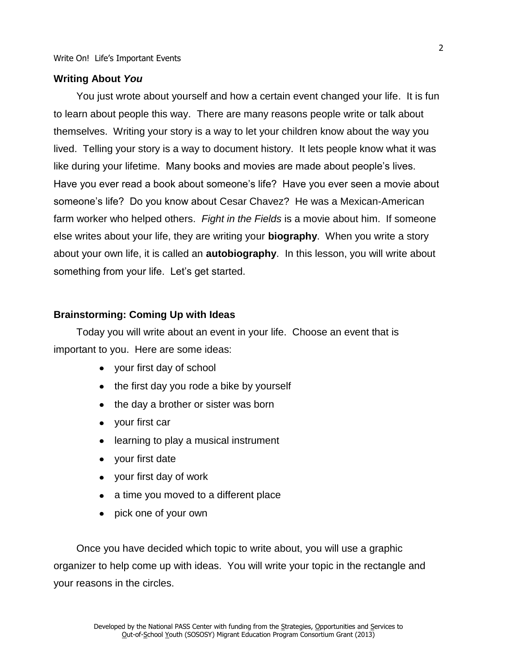#### **Writing About** *You*

You just wrote about yourself and how a certain event changed your life. It is fun to learn about people this way. There are many reasons people write or talk about themselves. Writing your story is a way to let your children know about the way you lived. Telling your story is a way to document history. It lets people know what it was like during your lifetime. Many books and movies are made about people's lives. Have you ever read a book about someone's life? Have you ever seen a movie about someone's life? Do you know about Cesar Chavez? He was a Mexican-American farm worker who helped others. *Fight in the Fields* is a movie about him. If someone else writes about your life, they are writing your **biography**. When you write a story about your own life, it is called an **autobiography**. In this lesson, you will write about something from your life. Let's get started.

#### **Brainstorming: Coming Up with Ideas**

Today you will write about an event in your life. Choose an event that is important to you. Here are some ideas:

- your first day of school
- the first day you rode a bike by yourself
- the day a brother or sister was born
- your first car
- learning to play a musical instrument
- your first date
- your first day of work
- a time you moved to a different place
- pick one of your own  $\bullet$

Once you have decided which topic to write about, you will use a graphic organizer to help come up with ideas. You will write your topic in the rectangle and your reasons in the circles.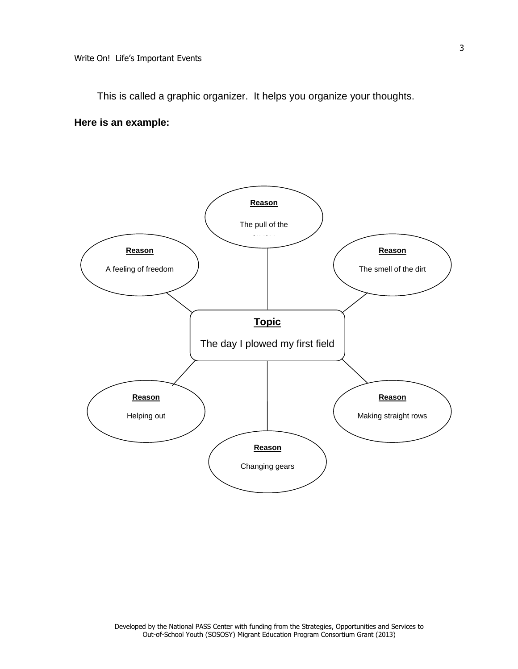This is called a graphic organizer. It helps you organize your thoughts.

# **Here is an example:**

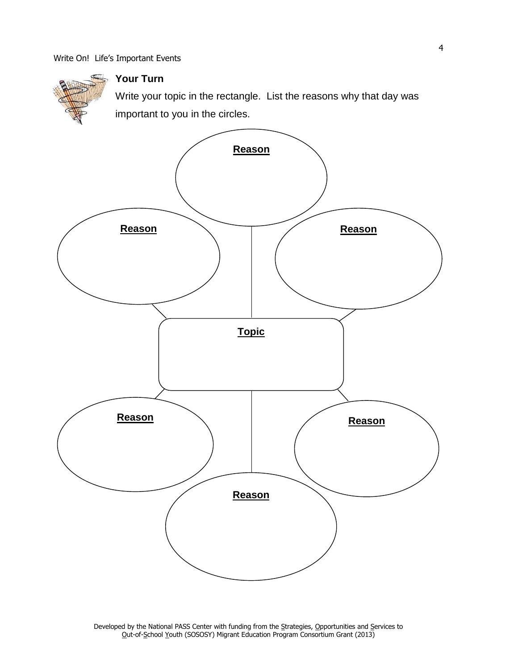Write On! Life's Important Events



#### **Your Turn**

Write your topic in the rectangle. List the reasons why that day was important to you in the circles.

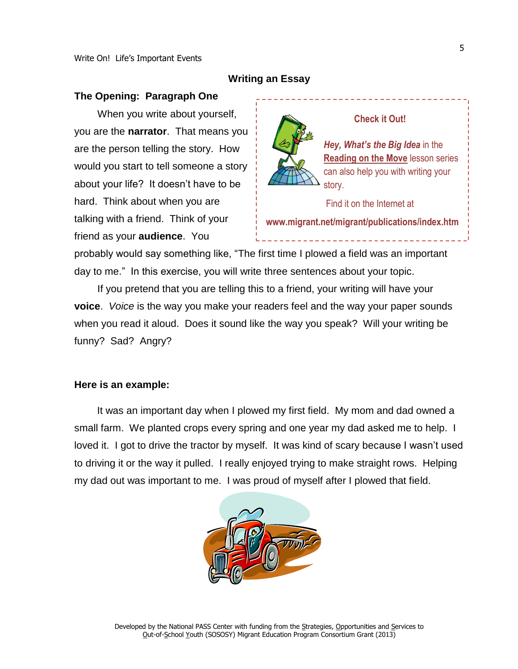#### **Writing an Essay**

#### **The Opening: Paragraph One**

When you write about yourself, you are the **narrator**. That means you are the person telling the story. How would you start to tell someone a story about your life? It doesn't have to be hard. Think about when you are talking with a friend. Think of your friend as your **audience**. You



#### **Check it Out!**

*Hey, What's the Big Idea* in the **Reading on the Move** lesson series can also help you with writing your story.

Find it on the Internet at

**www.migrant.net/migrant/publications/index.htm**

probably would say something like, "The first time I plowed a field was an important day to me." In this exercise, you will write three sentences about your topic.

If you pretend that you are telling this to a friend, your writing will have your **voice**. *Voice* is the way you make your readers feel and the way your paper sounds when you read it aloud. Does it sound like the way you speak? Will your writing be funny? Sad? Angry?

#### **Here is an example:**

It was an important day when I plowed my first field. My mom and dad owned a small farm. We planted crops every spring and one year my dad asked me to help. I loved it. I got to drive the tractor by myself. It was kind of scary because I wasn't used to driving it or the way it pulled. I really enjoyed trying to make straight rows. Helping my dad out was important to me. I was proud of myself after I plowed that field.

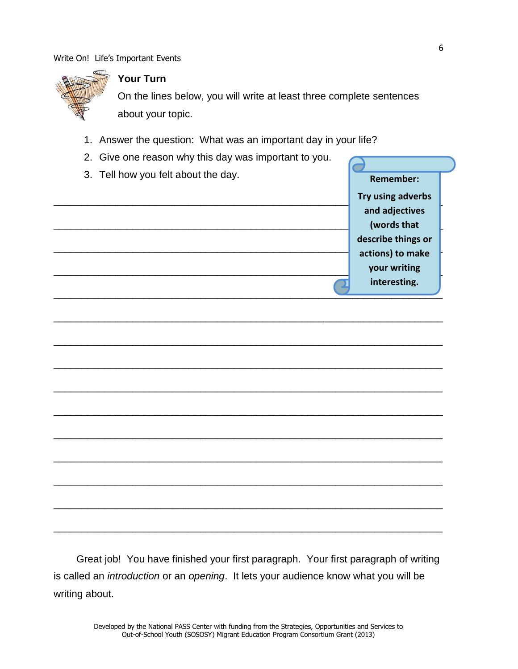

# **Your Turn**

On the lines below, you will write at least three complete sentences about your topic.

- 1. Answer the question: What was an important day in your life?
- 2. Give one reason why this day was important to you.

| 3. Tell how you felt about the day. | <b>Remember:</b>   |
|-------------------------------------|--------------------|
|                                     | Try using adverbs  |
|                                     | and adjectives     |
|                                     | (words that        |
|                                     | describe things or |
|                                     | actions) to make   |
|                                     | your writing       |
|                                     | interesting.       |
|                                     |                    |
|                                     |                    |
|                                     |                    |
|                                     |                    |
|                                     |                    |
|                                     |                    |
|                                     |                    |
|                                     |                    |
|                                     |                    |
|                                     |                    |
|                                     |                    |
|                                     |                    |
|                                     |                    |
|                                     |                    |
|                                     |                    |
|                                     |                    |

Great job! You have finished your first paragraph. Your first paragraph of writing is called an *introduction* or an *opening*. It lets your audience know what you will be writing about.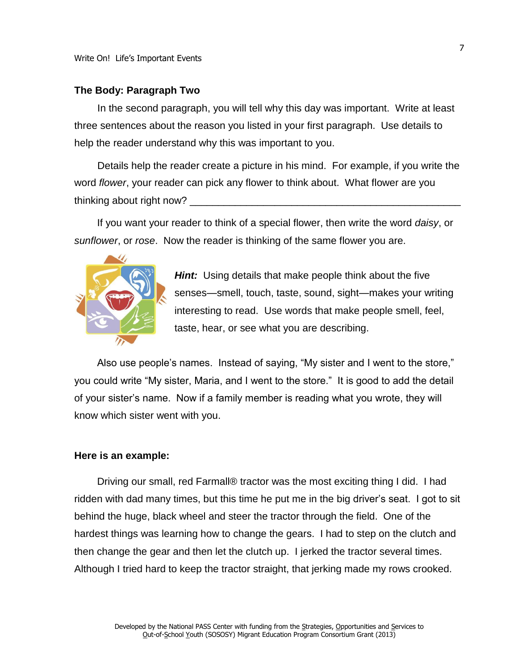#### **The Body: Paragraph Two**

In the second paragraph, you will tell why this day was important. Write at least three sentences about the reason you listed in your first paragraph. Use details to help the reader understand why this was important to you.

Details help the reader create a picture in his mind. For example, if you write the word *flower*, your reader can pick any flower to think about. What flower are you thinking about right now?

If you want your reader to think of a special flower, then write the word *daisy*, or *sunflower*, or *rose*. Now the reader is thinking of the same flower you are.



*Hint:* Using details that make people think about the five senses—smell, touch, taste, sound, sight—makes your writing interesting to read. Use words that make people smell, feel, taste, hear, or see what you are describing.

Also use people's names. Instead of saying, "My sister and I went to the store," you could write "My sister, Maria, and I went to the store." It is good to add the detail of your sister's name. Now if a family member is reading what you wrote, they will know which sister went with you.

#### **Here is an example:**

Driving our small, red Farmall® tractor was the most exciting thing I did. I had ridden with dad many times, but this time he put me in the big driver's seat. I got to sit behind the huge, black wheel and steer the tractor through the field. One of the hardest things was learning how to change the gears. I had to step on the clutch and then change the gear and then let the clutch up. I jerked the tractor several times. Although I tried hard to keep the tractor straight, that jerking made my rows crooked.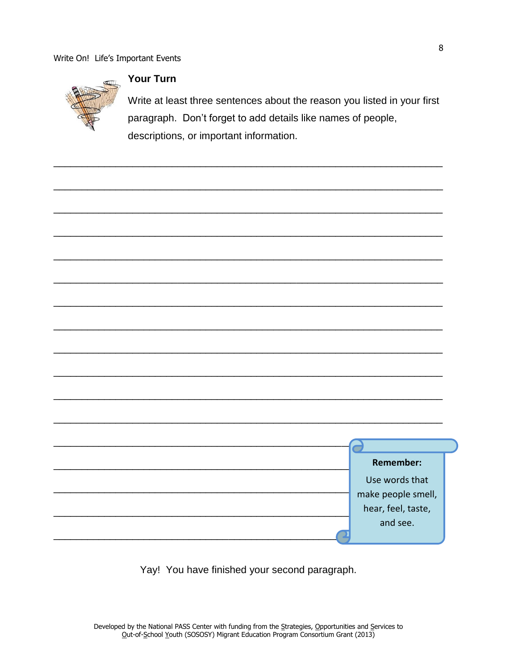

# **Your Turn**

Write at least three sentences about the reason you listed in your first paragraph. Don't forget to add details like names of people, descriptions, or important information.

| <b>Remember:</b>   |
|--------------------|
|                    |
|                    |
| Use words that     |
| make people smell, |
|                    |
| hear, feel, taste, |
|                    |
| and see.           |
|                    |
|                    |

Yay! You have finished your second paragraph.

8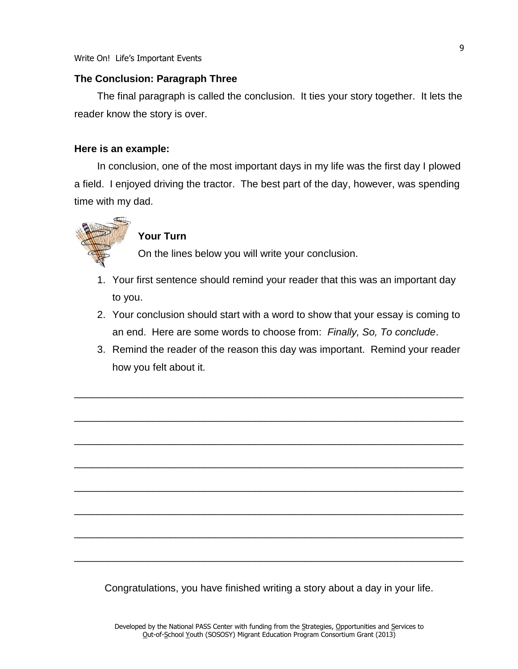#### **The Conclusion: Paragraph Three**

The final paragraph is called the conclusion. It ties your story together. It lets the reader know the story is over.

#### **Here is an example:**

In conclusion, one of the most important days in my life was the first day I plowed a field. I enjoyed driving the tractor. The best part of the day, however, was spending time with my dad.



## **Your Turn**

On the lines below you will write your conclusion.

- 1. Your first sentence should remind your reader that this was an important day to you.
- 2. Your conclusion should start with a word to show that your essay is coming to an end. Here are some words to choose from: *Finally, So, To conclude*.
- 3. Remind the reader of the reason this day was important. Remind your reader how you felt about it.

\_\_\_\_\_\_\_\_\_\_\_\_\_\_\_\_\_\_\_\_\_\_\_\_\_\_\_\_\_\_\_\_\_\_\_\_\_\_\_\_\_\_\_\_\_\_\_\_\_\_\_\_\_\_\_\_\_\_\_\_\_\_\_\_\_\_\_\_\_

\_\_\_\_\_\_\_\_\_\_\_\_\_\_\_\_\_\_\_\_\_\_\_\_\_\_\_\_\_\_\_\_\_\_\_\_\_\_\_\_\_\_\_\_\_\_\_\_\_\_\_\_\_\_\_\_\_\_\_\_\_\_\_\_\_\_\_\_\_

\_\_\_\_\_\_\_\_\_\_\_\_\_\_\_\_\_\_\_\_\_\_\_\_\_\_\_\_\_\_\_\_\_\_\_\_\_\_\_\_\_\_\_\_\_\_\_\_\_\_\_\_\_\_\_\_\_\_\_\_\_\_\_\_\_\_\_\_\_

\_\_\_\_\_\_\_\_\_\_\_\_\_\_\_\_\_\_\_\_\_\_\_\_\_\_\_\_\_\_\_\_\_\_\_\_\_\_\_\_\_\_\_\_\_\_\_\_\_\_\_\_\_\_\_\_\_\_\_\_\_\_\_\_\_\_\_\_\_

\_\_\_\_\_\_\_\_\_\_\_\_\_\_\_\_\_\_\_\_\_\_\_\_\_\_\_\_\_\_\_\_\_\_\_\_\_\_\_\_\_\_\_\_\_\_\_\_\_\_\_\_\_\_\_\_\_\_\_\_\_\_\_\_\_\_\_\_\_

\_\_\_\_\_\_\_\_\_\_\_\_\_\_\_\_\_\_\_\_\_\_\_\_\_\_\_\_\_\_\_\_\_\_\_\_\_\_\_\_\_\_\_\_\_\_\_\_\_\_\_\_\_\_\_\_\_\_\_\_\_\_\_\_\_\_\_\_\_

\_\_\_\_\_\_\_\_\_\_\_\_\_\_\_\_\_\_\_\_\_\_\_\_\_\_\_\_\_\_\_\_\_\_\_\_\_\_\_\_\_\_\_\_\_\_\_\_\_\_\_\_\_\_\_\_\_\_\_\_\_\_\_\_\_\_\_\_\_

\_\_\_\_\_\_\_\_\_\_\_\_\_\_\_\_\_\_\_\_\_\_\_\_\_\_\_\_\_\_\_\_\_\_\_\_\_\_\_\_\_\_\_\_\_\_\_\_\_\_\_\_\_\_\_\_\_\_\_\_\_\_\_\_\_\_\_\_\_

Congratulations, you have finished writing a story about a day in your life.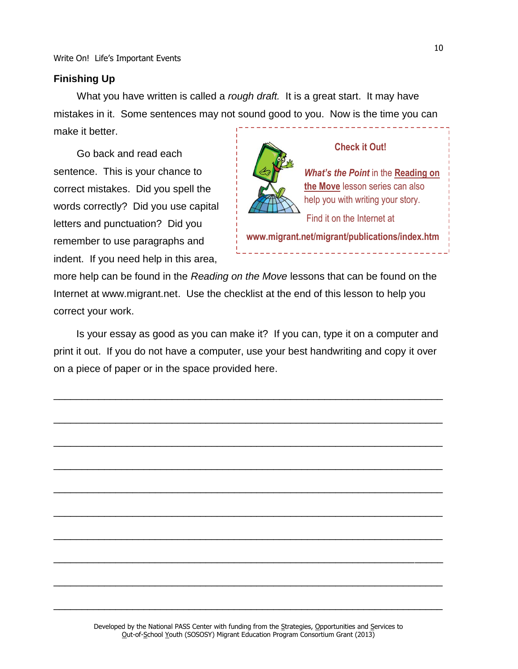### **Finishing Up**

What you have written is called a *rough draft.* It is a great start. It may have mistakes in it. Some sentences may not sound good to you. Now is the time you can make it better.

Go back and read each sentence. This is your chance to correct mistakes. Did you spell the words correctly? Did you use capital letters and punctuation? Did you remember to use paragraphs and indent. If you need help in this area,



#### **Check it Out!**

*What's the Point* in the **Reading on the Move** lesson series can also help you with writing your story.

Find it on the Internet at

**www.migrant.net/migrant/publications/index.htm**

more help can be found in the *Reading on the Move* lessons that can be found on the Internet at www.migrant.net. Use the checklist at the end of this lesson to help you correct your work.

Is your essay as good as you can make it? If you can, type it on a computer and print it out. If you do not have a computer, use your best handwriting and copy it over on a piece of paper or in the space provided here.

\_\_\_\_\_\_\_\_\_\_\_\_\_\_\_\_\_\_\_\_\_\_\_\_\_\_\_\_\_\_\_\_\_\_\_\_\_\_\_\_\_\_\_\_\_\_\_\_\_\_\_\_\_\_\_\_\_\_\_\_\_\_\_\_\_\_\_\_\_

\_\_\_\_\_\_\_\_\_\_\_\_\_\_\_\_\_\_\_\_\_\_\_\_\_\_\_\_\_\_\_\_\_\_\_\_\_\_\_\_\_\_\_\_\_\_\_\_\_\_\_\_\_\_\_\_\_\_\_\_\_\_\_\_\_\_\_\_\_

\_\_\_\_\_\_\_\_\_\_\_\_\_\_\_\_\_\_\_\_\_\_\_\_\_\_\_\_\_\_\_\_\_\_\_\_\_\_\_\_\_\_\_\_\_\_\_\_\_\_\_\_\_\_\_\_\_\_\_\_\_\_\_\_\_\_\_\_\_

\_\_\_\_\_\_\_\_\_\_\_\_\_\_\_\_\_\_\_\_\_\_\_\_\_\_\_\_\_\_\_\_\_\_\_\_\_\_\_\_\_\_\_\_\_\_\_\_\_\_\_\_\_\_\_\_\_\_\_\_\_\_\_\_\_\_\_\_\_

\_\_\_\_\_\_\_\_\_\_\_\_\_\_\_\_\_\_\_\_\_\_\_\_\_\_\_\_\_\_\_\_\_\_\_\_\_\_\_\_\_\_\_\_\_\_\_\_\_\_\_\_\_\_\_\_\_\_\_\_\_\_\_\_\_\_\_\_\_

\_\_\_\_\_\_\_\_\_\_\_\_\_\_\_\_\_\_\_\_\_\_\_\_\_\_\_\_\_\_\_\_\_\_\_\_\_\_\_\_\_\_\_\_\_\_\_\_\_\_\_\_\_\_\_\_\_\_\_\_\_\_\_\_\_\_\_\_\_

\_\_\_\_\_\_\_\_\_\_\_\_\_\_\_\_\_\_\_\_\_\_\_\_\_\_\_\_\_\_\_\_\_\_\_\_\_\_\_\_\_\_\_\_\_\_\_\_\_\_\_\_\_\_\_\_\_\_\_\_\_\_\_\_\_\_\_\_\_

\_\_\_\_\_\_\_\_\_\_\_\_\_\_\_\_\_\_\_\_\_\_\_\_\_\_\_\_\_\_\_\_\_\_\_\_\_\_\_\_\_\_\_\_\_\_\_\_\_\_\_\_\_\_\_\_\_\_\_\_\_\_\_\_\_\_\_\_\_

\_\_\_\_\_\_\_\_\_\_\_\_\_\_\_\_\_\_\_\_\_\_\_\_\_\_\_\_\_\_\_\_\_\_\_\_\_\_\_\_\_\_\_\_\_\_\_\_\_\_\_\_\_\_\_\_\_\_\_\_\_\_\_\_\_\_\_\_\_

\_\_\_\_\_\_\_\_\_\_\_\_\_\_\_\_\_\_\_\_\_\_\_\_\_\_\_\_\_\_\_\_\_\_\_\_\_\_\_\_\_\_\_\_\_\_\_\_\_\_\_\_\_\_\_\_\_\_\_\_\_\_\_\_\_\_\_\_\_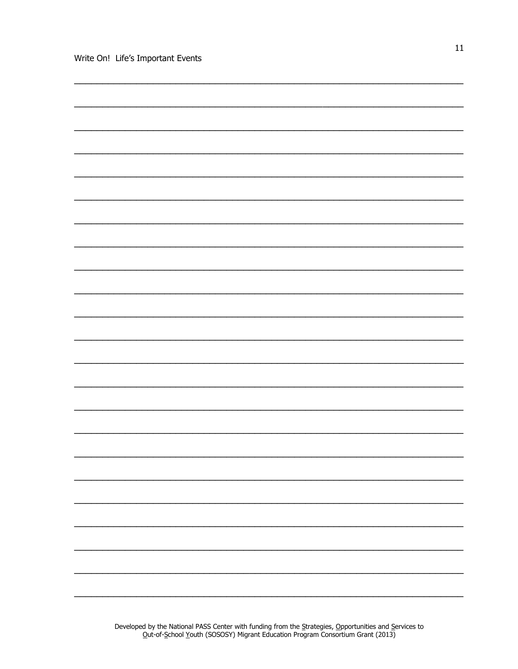|  |  | Ξ.                       |
|--|--|--------------------------|
|  |  |                          |
|  |  |                          |
|  |  |                          |
|  |  |                          |
|  |  |                          |
|  |  |                          |
|  |  |                          |
|  |  |                          |
|  |  |                          |
|  |  |                          |
|  |  |                          |
|  |  |                          |
|  |  |                          |
|  |  |                          |
|  |  |                          |
|  |  |                          |
|  |  |                          |
|  |  |                          |
|  |  |                          |
|  |  |                          |
|  |  |                          |
|  |  |                          |
|  |  | $\overline{\phantom{0}}$ |
|  |  |                          |
|  |  |                          |
|  |  |                          |
|  |  |                          |
|  |  |                          |
|  |  |                          |
|  |  |                          |
|  |  |                          |
|  |  |                          |
|  |  |                          |
|  |  |                          |
|  |  |                          |
|  |  |                          |
|  |  |                          |
|  |  |                          |
|  |  |                          |
|  |  |                          |
|  |  |                          |
|  |  |                          |
|  |  |                          |
|  |  |                          |
|  |  |                          |
|  |  |                          |
|  |  |                          |
|  |  |                          |
|  |  |                          |
|  |  |                          |
|  |  |                          |
|  |  |                          |
|  |  |                          |
|  |  |                          |
|  |  |                          |
|  |  |                          |
|  |  |                          |
|  |  |                          |
|  |  |                          |
|  |  |                          |
|  |  |                          |
|  |  |                          |
|  |  |                          |
|  |  |                          |
|  |  |                          |
|  |  |                          |
|  |  |                          |
|  |  |                          |
|  |  |                          |
|  |  |                          |
|  |  |                          |
|  |  |                          |
|  |  |                          |
|  |  |                          |
|  |  |                          |
|  |  |                          |
|  |  |                          |
|  |  |                          |
|  |  |                          |
|  |  |                          |
|  |  |                          |
|  |  |                          |
|  |  |                          |
|  |  |                          |
|  |  |                          |
|  |  |                          |
|  |  |                          |

Developed by the National PASS Center with funding from the Strategies, Opportunities and Services to Out-of-School Youth (SOSOSY) Migrant Education Program Consortium Grant (2013)